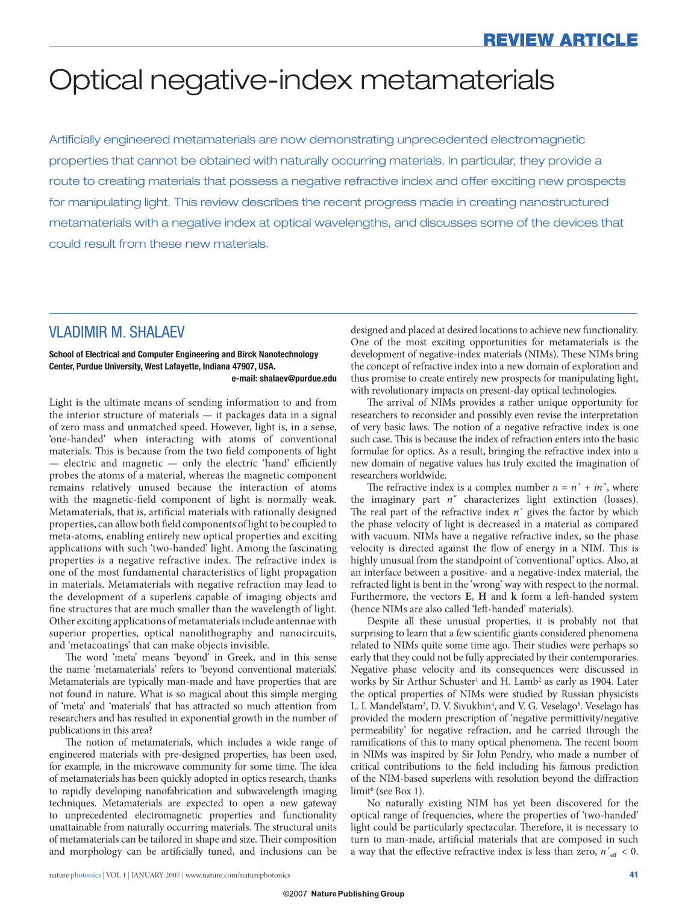# Optical negative-index metamaterials

Artificially engineered metamaterials are now demonstrating unprecedented electromagnetic properties that cannot be obtained with naturally occurring materials. In particular, they provide a route to creating materials that possess a negative refractive index and offer exciting new prospects for manipulating light. This review describes the recent progress made in creating nanostructured metamaterials with a negative index at optical wavelengths, and discusses some of the devices that could result from these new materials.

## VI ADIMIR M. SHAI AFV

#### **School of Electrical and Computer Engineering and Birck Nanotechnology Center, Purdue University, West Lafayette, Indiana 47907, USA. e-mail: shalaev@purdue.edu**

Light is the ultimate means of sending information to and from the interior structure of materials — it packages data in a signal of zero mass and unmatched speed. However, light is, in a sense, 'one-handed' when interacting with atoms of conventional materials. This is because from the two field components of light  $-$  electric and magnetic  $-$  only the electric 'hand' efficiently probes the atoms of a material, whereas the magnetic component remains relatively unused because the interaction of atoms with the magnetic-field component of light is normally weak. Metamaterials, that is, artificial materials with rationally designed properties, can allow both field components of light to be coupled to meta-atoms, enabling entirely new optical properties and exciting applications with such 'two-handed' light. Among the fascinating properties is a negative refractive index. The refractive index is one of the most fundamental characteristics of light propagation in materials. Metamaterials with negative refraction may lead to the development of a superlens capable of imaging objects and fine structures that are much smaller than the wavelength of light. Other exciting applications of metamaterials include antennae with superior properties, optical nanolithography and nanocircuits, and 'metacoatings' that can make objects invisible.

The word 'meta' means 'beyond' in Greek, and in this sense the name 'metamaterials' refers to 'beyond conventional materials'. Metamaterials are typically man-made and have properties that are not found in nature. What is so magical about this simple merging of 'meta' and 'materials' that has attracted so much attention from researchers and has resulted in exponential growth in the number of publications in this area?

The notion of metamaterials, which includes a wide range of engineered materials with pre-designed properties, has been used, for example, in the microwave community for some time. The idea of metamaterials has been quickly adopted in optics research, thanks to rapidly developing nanofabrication and subwavelength imaging techniques. Metamaterials are expected to open a new gateway to unprecedented electromagnetic properties and functionality unattainable from naturally occurring materials. The structural units of metamaterials can be tailored in shape and size. Their composition and morphology can be artificially tuned, and inclusions can be

designed and placed at desired locations to achieve new functionality. One of the most exciting opportunities for metamaterials is the development of negative-index materials (NIMs). These NIMs bring the concept of refractive index into a new domain of exploration and thus promise to create entirely new prospects for manipulating light, with revolutionary impacts on present-day optical technologies.

The arrival of NIMs provides a rather unique opportunity for researchers to reconsider and possibly even revise the interpretation of very basic laws. The notion of a negative refractive index is one such case. This is because the index of refraction enters into the basic formulae for optics. As a result, bringing the refractive index into a new domain of negative values has truly excited the imagination of researchers worldwide.

The refractive index is a complex number  $n = n' + in''$ , where the imaginary part *n*<sup>"</sup> characterizes light extinction (losses). The real part of the refractive index *n'* gives the factor by which the phase velocity of light is decreased in a material as compared with vacuum. NIMs have a negative refractive index, so the phase velocity is directed against the flow of energy in a NIM. This is highly unusual from the standpoint of 'conventional' optics. Also, at an interface between a positive- and a negative-index material, the refracted light is bent in the 'wrong' way with respect to the normal. Furthermore, the vectors **E**, **H** and **k** form a left -handed system (hence NIMs are also called 'left -handed' materials).

Despite all these unusual properties, it is probably not that surprising to learn that a few scientific giants considered phenomena related to NIMs quite some time ago. Their studies were perhaps so early that they could not be fully appreciated by their contemporaries. Negative phase velocity and its consequences were discussed in works by Sir Arthur Schuster<sup>1</sup> and H. Lamb<sup>2</sup> as early as 1904. Later the optical properties of NIMs were studied by Russian physicists L. I. Mandel'stam<sup>3</sup>, D. V. Sivukhin<sup>4</sup>, and V. G. Veselago<sup>5</sup>. Veselago has provided the modern prescription of 'negative permittivity/negative permeability' for negative refraction, and he carried through the ramifications of this to many optical phenomena. The recent boom in NIMs was inspired by Sir John Pendry, who made a number of critical contributions to the field including his famous prediction of the NIM-based superlens with resolution beyond the diffraction limit6 (see Box 1).

No naturally existing NIM has yet been discovered for the optical range of frequencies, where the properties of 'two-handed' light could be particularly spectacular. Therefore, it is necessary to turn to man-made, artificial materials that are composed in such a way that the effective refractive index is less than zero,  $n'_{\text{eff}} < 0$ .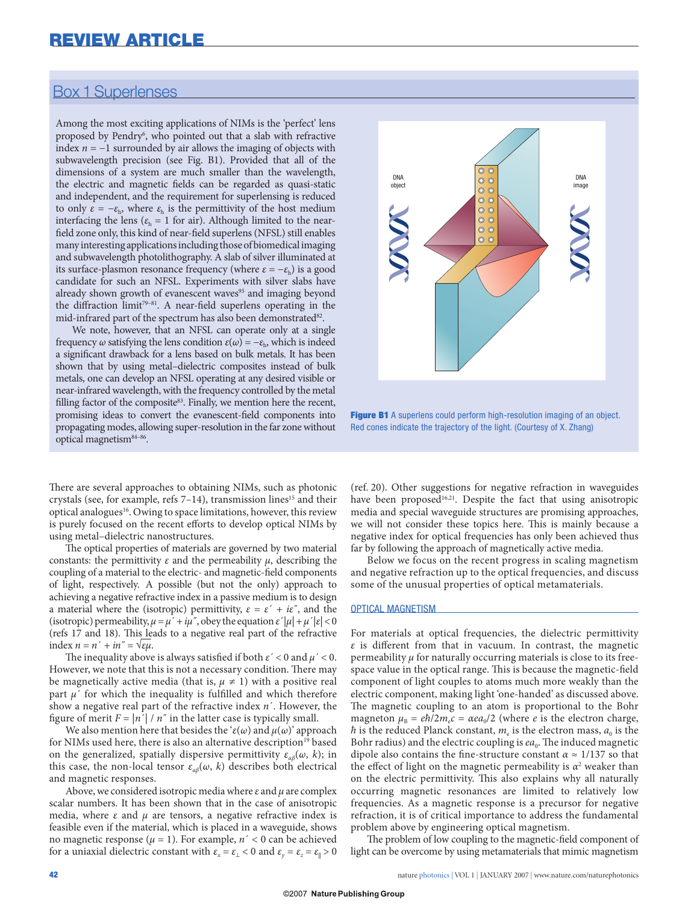### Box 1 Superlenses

Among the most exciting applications of NIMs is the 'perfect' lens proposed by Pendry<sup>6</sup>, who pointed out that a slab with refractive index *n =* −1 surrounded by air allows the imaging of objects with subwavelength precision (see Fig. B1). Provided that all of the dimensions of a system are much smaller than the wavelength, the electric and magnetic fields can be regarded as quasi-static and independent, and the requirement for superlensing is reduced to only  $\varepsilon = -\varepsilon_h$ , where  $\varepsilon_h$  is the permittivity of the host medium interfacing the lens ( $\varepsilon$ <sub>h</sub> = 1 for air). Although limited to the nearfield zone only, this kind of near-field superlens (NFSL) still enables many interesting applications including those of biomedical imaging and subwavelength photolithography. A slab of silver illuminated at its surface-plasmon resonance frequency (where  $\varepsilon = -\varepsilon_h$ ) is a good candidate for such an NFSL. Experiments with silver slabs have already shown growth of evanescent waves<sup>95</sup> and imaging beyond the diffraction  $\lim_{T \to 81}$ . A near-field superlens operating in the mid-infrared part of the spectrum has also been demonstrated<sup>82</sup>.

We note, however, that an NFSL can operate only at a single frequency  $\omega$  satisfying the lens condition  $\varepsilon(\omega) = -\varepsilon_h$ , which is indeed a significant drawback for a lens based on bulk metals. It has been shown that by using metal–dielectric composites instead of bulk metals, one can develop an NFSL operating at any desired visible or near-infrared wavelength, with the frequency controlled by the metal filling factor of the composite<sup>83</sup>. Finally, we mention here the recent, promising ideas to convert the evanescent-field components into propagating modes, allowing super-resolution in the far zone without optical magnetism<sup>84-86</sup>.



**Figure B1** A superlens could perform high-resolution imaging of an object. Red cones indicate the trajectory of the light. (Courtesy of X. Zhang)

There are several approaches to obtaining NIMs, such as photonic crystals (see, for example, refs  $7-14$ ), transmission lines<sup>15</sup> and their optical analogues<sup>16</sup>. Owing to space limitations, however, this review is purely focused on the recent efforts to develop optical NIMs by using metal–dielectric nanostructures.

The optical properties of materials are governed by two material constants: the permittivity  $\varepsilon$  and the permeability  $\mu$ , describing the coupling of a material to the electric- and magnetic-field components of light, respectively. A possible (but not the only) approach to achieving a negative refractive index in a passive medium is to design a material where the (isotropic) permittivity,  $\varepsilon = \varepsilon' + i\varepsilon''$ , and the (isotropic) permeability,  $\mu = \mu' + i\mu''$ , obey the equation  $\varepsilon'|\mu| + \mu'|\varepsilon| < 0$ (refs 17 and 18). This leads to a negative real part of the refractive index  $n = n' + in'' = \sqrt{\varepsilon \mu}$ .

The inequality above is always satisfied if both  $\varepsilon' < 0$  and  $\mu' < 0$ . However, we note that this is not a necessary condition. There may be magnetically active media (that is,  $\mu \neq 1$ ) with a positive real part  $\mu'$  for which the inequality is fulfilled and which therefore show a negative real part of the refractive index *n*´. However, the figure of merit  $F = |n| / n$ <sup>"</sup> in the latter case is typically small.

We also mention here that besides the ' $ε(ω)$  and  $μ(ω)$ ' approach for NIMs used here, there is also an alternative description<sup>19</sup> based on the generalized, spatially dispersive permittivity  $\varepsilon_{\alpha\beta}(\omega, k)$ ; in this case, the non-local tensor  $\varepsilon_{\alpha\beta}(\omega, k)$  describes both electrical and magnetic responses.

Above, we considered isotropic media where *ε* and *μ* are complex scalar numbers. It has been shown that in the case of anisotropic media, where *ε* and *μ* are tensors, a negative refractive index is feasible even if the material, which is placed in a waveguide, shows no magnetic response ( $\mu$  = 1). For example,  $n'$  < 0 can be achieved for a uniaxial dielectric constant with  $\varepsilon_x = \varepsilon_{\perp} < 0$  and  $\varepsilon_y = \varepsilon_z = \varepsilon_{\parallel} > 0$  (ref. 20). Other suggestions for negative refraction in waveguides have been proposed<sup>16,21</sup>. Despite the fact that using anisotropic media and special waveguide structures are promising approaches, we will not consider these topics here. This is mainly because a negative index for optical frequencies has only been achieved thus far by following the approach of magnetically active media.

Below we focus on the recent progress in scaling magnetism and negative refraction up to the optical frequencies, and discuss some of the unusual properties of optical metamaterials.

#### OPTICAL MAGNETISM

For materials at optical frequencies, the dielectric permittivity  $\epsilon$  is different from that in vacuum. In contrast, the magnetic permeability *μ* for naturally occurring materials is close to its freespace value in the optical range. This is because the magnetic-field component of light couples to atoms much more weakly than the electric component, making light 'one-handed' as discussed above. The magnetic coupling to an atom is proportional to the Bohr magneton  $\mu_B = e\hbar/2m_ec = \alpha ea_0/2$  (where *e* is the electron charge,  $\hbar$  is the reduced Planck constant,  $m_e$  is the electron mass,  $a_0$  is the Bohr radius) and the electric coupling is  $ea_0$ . The induced magnetic dipole also contains the fine-structure constant  $\alpha \approx 1/137$  so that the effect of light on the magnetic permeability is  $\alpha^2$  weaker than on the electric permittivity. This also explains why all naturally occurring magnetic resonances are limited to relatively low frequencies. As a magnetic response is a precursor for negative refraction, it is of critical importance to address the fundamental problem above by engineering optical magnetism.

The problem of low coupling to the magnetic-field component of light can be overcome by using metamaterials that mimic magnetism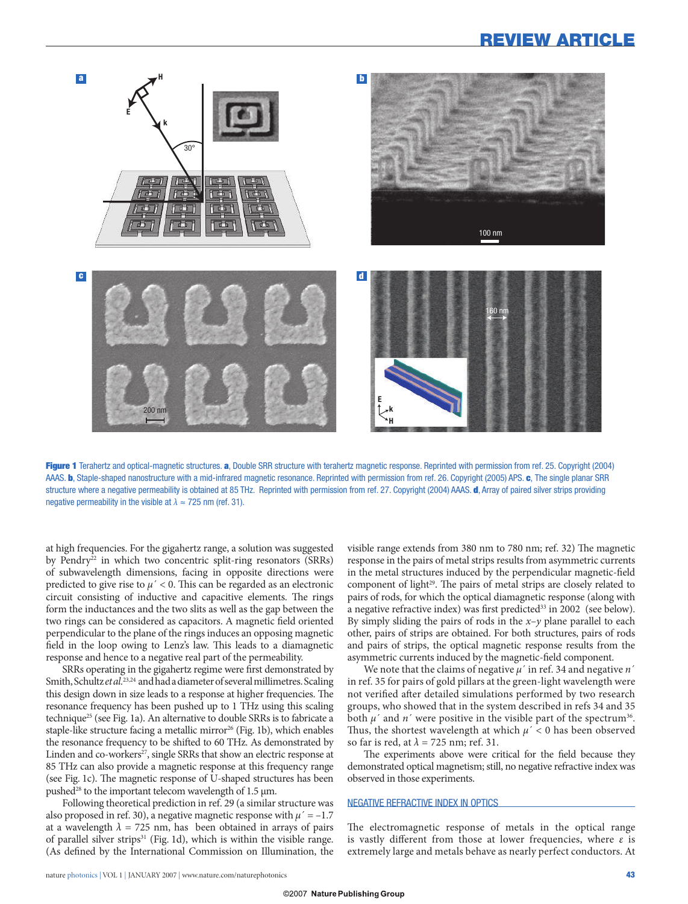

**Figure 1** Terahertz and optical-magnetic structures. **a**, Double SRR structure with terahertz magnetic response. Reprinted with permission from ref. 25. Copyright (2004) AAAS. **b**, Staple-shaped nanostructure with a mid-infrared magnetic resonance. Reprinted with permission from ref. 26. Copyright (2005) APS. **c**, The single planar SRR structure where a negative permeability is obtained at 85 THz. Reprinted with permission from ref. 27. Copyright (2004) AAAS. **d**, Array of paired silver strips providing negative permeability in the visible at  $\lambda \approx 725$  nm (ref. 31).

at high frequencies. For the gigahertz range, a solution was suggested by Pendry<sup>22</sup> in which two concentric split-ring resonators (SRRs) of subwavelength dimensions, facing in opposite directions were predicted to give rise to  $\mu' < 0$ . This can be regarded as an electronic circuit consisting of inductive and capacitive elements. The rings form the inductances and the two slits as well as the gap between the two rings can be considered as capacitors. A magnetic field oriented perpendicular to the plane of the rings induces an opposing magnetic field in the loop owing to Lenz's law. This leads to a diamagnetic response and hence to a negative real part of the permeability.

SRRs operating in the gigahertz regime were first demonstrated by Smith, Schultz *et al.*23,24 and had a diameter of several millimetres. Scaling this design down in size leads to a response at higher frequencies. The resonance frequency has been pushed up to 1 THz using this scaling technique25 (see Fig. 1a). An alternative to double SRRs is to fabricate a staple-like structure facing a metallic mirror<sup>26</sup> (Fig. 1b), which enables the resonance frequency to be shifted to 60 THz. As demonstrated by Linden and co-workers<sup>27</sup>, single SRRs that show an electric response at 85 THz can also provide a magnetic response at this frequency range (see Fig. 1c). The magnetic response of U-shaped structures has been pushed<sup>28</sup> to the important telecom wavelength of 1.5  $\mu$ m.

Following theoretical prediction in ref. 29 (a similar structure was also proposed in ref. 30), a negative magnetic response with  $\mu' = -1.7$ at a wavelength  $\lambda$  = 725 nm, has been obtained in arrays of pairs of parallel silver strips $31$  (Fig. 1d), which is within the visible range. (As defined by the International Commission on Illumination, the

visible range extends from 380 nm to 780 nm; ref. 32) The magnetic response in the pairs of metal strips results from asymmetric currents in the metal structures induced by the perpendicular magnetic-field component of light<sup>29</sup>. The pairs of metal strips are closely related to pairs of rods, for which the optical diamagnetic response (along with a negative refractive index) was first predicted<sup>33</sup> in 2002 (see below). By simply sliding the pairs of rods in the  $x-y$  plane parallel to each other, pairs of strips are obtained. For both structures, pairs of rods and pairs of strips, the optical magnetic response results from the asymmetric currents induced by the magnetic-field component.

We note that the claims of negative *μ*´ in ref. 34 and negative *n*´ in ref. 35 for pairs of gold pillars at the green-light wavelength were not verified after detailed simulations performed by two research groups, who showed that in the system described in refs 34 and 35 both  $\mu'$  and  $n'$  were positive in the visible part of the spectrum<sup>36</sup>. Thus, the shortest wavelength at which  $\mu' < 0$  has been observed so far is red, at  $\lambda$  = 725 nm; ref. 31.

The experiments above were critical for the field because they demonstrated optical magnetism; still, no negative refractive index was observed in those experiments.

#### NEGATIVE REFRACTIVE INDEX IN OPTICS

The electromagnetic response of metals in the optical range is vastly different from those at lower frequencies, where *ε* is extremely large and metals behave as nearly perfect conductors. At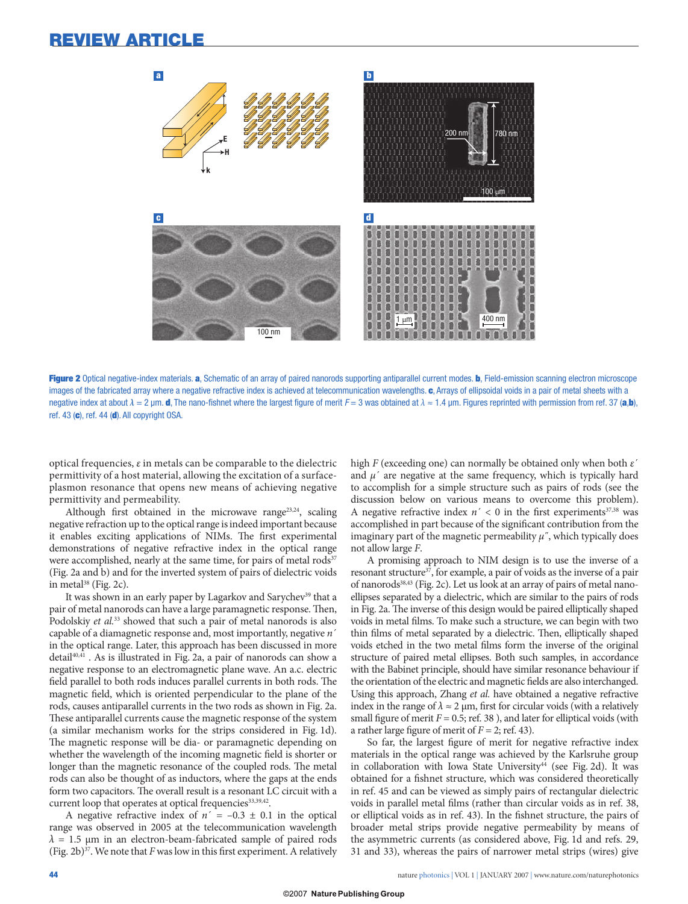

**Figure 2** Optical negative-index materials. **a**, Schematic of an array of paired nanorods supporting antiparallel current modes. **b**, Field-emission scanning electron microscope images of the fabricated array where a negative refractive index is achieved at telecommunication wavelengths. **c**, Arrays of ellipsoidal voids in a pair of metal sheets with a neqative index at about  $\lambda = 2$  µm. d. The nano-fishnet where the largest figure of merit  $F = 3$  was obtained at  $\lambda \approx 1.4$  µm. Figures reprinted with permission from ref. 37 (a.b). ref. 43 (**c**), ref. 44 (**d**). All copyright OSA.

optical frequencies, *ε* in metals can be comparable to the dielectric permittivity of a host material, allowing the excitation of a surfaceplasmon resonance that opens new means of achieving negative permittivity and permeability.

Although first obtained in the microwave range<sup>23,24</sup>, scaling negative refraction up to the optical range is indeed important because it enables exciting applications of NIMs. The first experimental demonstrations of negative refractive index in the optical range were accomplished, nearly at the same time, for pairs of metal rods<sup>37</sup> (Fig. 2a and b) and for the inverted system of pairs of dielectric voids in metal $38$  (Fig. 2c).

It was shown in an early paper by Lagarkov and Sarychev<sup>39</sup> that a pair of metal nanorods can have a large paramagnetic response. Then, Podolskiy *et al.*33 showed that such a pair of metal nanorods is also capable of a diamagnetic response and, most importantly, negative *n*´ in the optical range. Later, this approach has been discussed in more detail40,41 . As is illustrated in Fig. 2a, a pair of nanorods can show a negative response to an electromagnetic plane wave. An a.c. electric field parallel to both rods induces parallel currents in both rods. The magnetic field, which is oriented perpendicular to the plane of the rods, causes antiparallel currents in the two rods as shown in Fig. 2a. These antiparallel currents cause the magnetic response of the system (a similar mechanism works for the strips considered in Fig. 1d). The magnetic response will be dia- or paramagnetic depending on whether the wavelength of the incoming magnetic field is shorter or longer than the magnetic resonance of the coupled rods. The metal rods can also be thought of as inductors, where the gaps at the ends form two capacitors. The overall result is a resonant LC circuit with a current loop that operates at optical frequencies<sup>33,39,42</sup>.

A negative refractive index of  $n' = -0.3 \pm 0.1$  in the optical range was observed in 2005 at the telecommunication wavelength  $λ = 1.5$  μm in an electron-beam-fabricated sample of paired rods (Fig. 2b)<sup>37</sup>. We note that  $F$  was low in this first experiment. A relatively high *F* (exceeding one) can normally be obtained only when both *ε*´ and  $\mu'$  are negative at the same frequency, which is typically hard to accomplish for a simple structure such as pairs of rods (see the discussion below on various means to overcome this problem). A negative refractive index  $n' < 0$  in the first experiments<sup>37,38</sup> was accomplished in part because of the significant contribution from the imaginary part of the magnetic permeability *μ*˝, which typically does not allow large *F*.

A promising approach to NIM design is to use the inverse of a resonant structure $37$ , for example, a pair of voids as the inverse of a pair of nanorods<sup>38,43</sup> (Fig. 2c). Let us look at an array of pairs of metal nanoellipses separated by a dielectric, which are similar to the pairs of rods in Fig. 2a. The inverse of this design would be paired elliptically shaped voids in metal films. To make such a structure, we can begin with two thin films of metal separated by a dielectric. Then, elliptically shaped voids etched in the two metal films form the inverse of the original structure of paired metal ellipses. Both such samples, in accordance with the Babinet principle, should have similar resonance behaviour if the orientation of the electric and magnetic fields are also interchanged. Using this approach, Zhang *et al.* have obtained a negative refractive index in the range of  $\lambda \approx 2 \mu m$ , first for circular voids (with a relatively small figure of merit  $F = 0.5$ ; ref. 38), and later for elliptical voids (with a rather large figure of merit of  $F = 2$ ; ref. 43).

So far, the largest figure of merit for negative refractive index materials in the optical range was achieved by the Karlsruhe group in collaboration with Iowa State University<sup>44</sup> (see Fig. 2d). It was obtained for a fishnet structure, which was considered theoretically in ref. 45 and can be viewed as simply pairs of rectangular dielectric voids in parallel metal films (rather than circular voids as in ref. 38, or elliptical voids as in ref. 43). In the fishnet structure, the pairs of broader metal strips provide negative permeability by means of the asymmetric currents (as considered above, Fig. 1d and refs. 29, 31 and 33), whereas the pairs of narrower metal strips (wires) give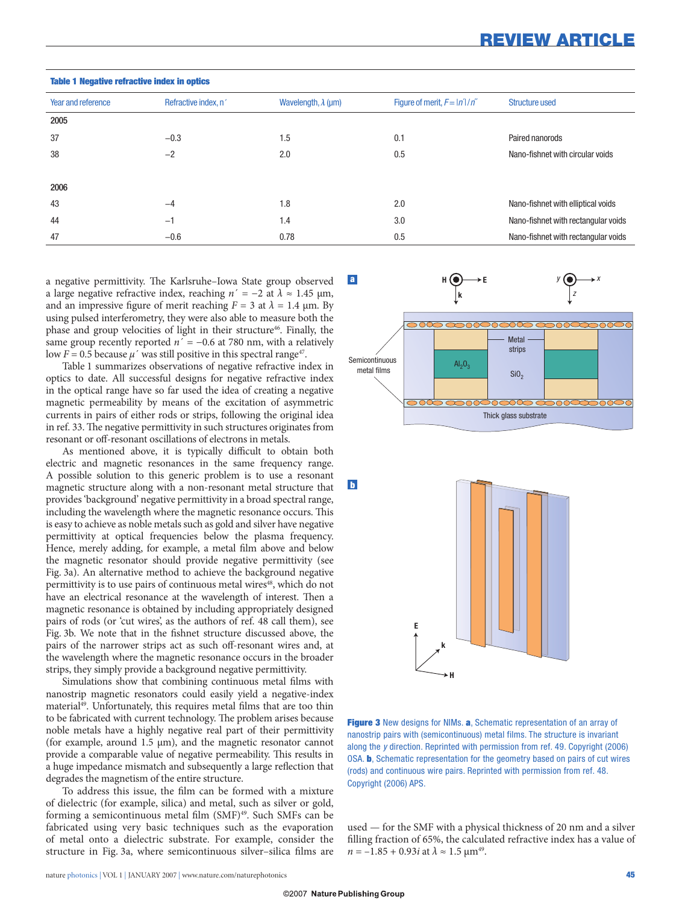| <b>Table 1 Negative refractive index in optics</b> |                      |                            |                                        |                                     |
|----------------------------------------------------|----------------------|----------------------------|----------------------------------------|-------------------------------------|
| Year and reference                                 | Refractive index, n' | Wavelength, $\lambda$ (µm) | Figure of merit, $F = \frac{n^2}{n^2}$ | <b>Structure used</b>               |
| 2005                                               |                      |                            |                                        |                                     |
| 37                                                 | $-0.3$               | 1.5                        | 0.1                                    | Paired nanorods                     |
| 38                                                 | $-2$                 | 2.0                        | 0.5                                    | Nano-fishnet with circular voids    |
|                                                    |                      |                            |                                        |                                     |
| 2006                                               |                      |                            |                                        |                                     |
| 43                                                 | $-4$                 | 1.8                        | 2.0                                    | Nano-fishnet with elliptical voids  |
| 44                                                 | $-1$                 | 1.4                        | 3.0                                    | Nano-fishnet with rectangular voids |
| 47                                                 | $-0.6$               | 0.78                       | 0.5                                    | Nano-fishnet with rectangular voids |
|                                                    |                      |                            |                                        |                                     |

a negative permittivity. The Karlsruhe–Iowa State group observed a large negative refractive index, reaching  $n' = -2$  at  $\lambda \approx 1.45$  µm, and an impressive figure of merit reaching  $F = 3$  at  $\lambda = 1.4$  µm. By using pulsed interferometry, they were also able to measure both the phase and group velocities of light in their structure<sup>46</sup>. Finally, the same group recently reported  $n' = -0.6$  at 780 nm, with a relatively low  $F = 0.5$  because  $\mu'$  was still positive in this spectral range<sup>47</sup>.

Table 1 summarizes observations of negative refractive index in optics to date. All successful designs for negative refractive index in the optical range have so far used the idea of creating a negative magnetic permeability by means of the excitation of asymmetric currents in pairs of either rods or strips, following the original idea in ref. 33. The negative permittivity in such structures originates from resonant or off -resonant oscillations of electrons in metals.

As mentioned above, it is typically difficult to obtain both electric and magnetic resonances in the same frequency range. A possible solution to this generic problem is to use a resonant magnetic structure along with a non-resonant metal structure that provides 'background' negative permittivity in a broad spectral range, including the wavelength where the magnetic resonance occurs. This is easy to achieve as noble metals such as gold and silver have negative permittivity at optical frequencies below the plasma frequency. Hence, merely adding, for example, a metal film above and below the magnetic resonator should provide negative permittivity (see Fig. 3a). An alternative method to achieve the background negative permittivity is to use pairs of continuous metal wires<sup>48</sup>, which do not have an electrical resonance at the wavelength of interest. Then a magnetic resonance is obtained by including appropriately designed pairs of rods (or 'cut wires', as the authors of ref. 48 call them), see Fig. 3b. We note that in the fishnet structure discussed above, the pairs of the narrower strips act as such off-resonant wires and, at the wavelength where the magnetic resonance occurs in the broader strips, they simply provide a background negative permittivity.

Simulations show that combining continuous metal films with nanostrip magnetic resonators could easily yield a negative-index material<sup>49</sup>. Unfortunately, this requires metal films that are too thin to be fabricated with current technology. The problem arises because noble metals have a highly negative real part of their permittivity (for example, around 1.5 μm), and the magnetic resonator cannot provide a comparable value of negative permeability. This results in a huge impedance mismatch and subsequently a large reflection that degrades the magnetism of the entire structure.

To address this issue, the film can be formed with a mixture of dielectric (for example, silica) and metal, such as silver or gold, forming a semicontinuous metal film (SMF)<sup>49</sup>. Such SMFs can be fabricated using very basic techniques such as the evaporation of metal onto a dielectric substrate. For example, consider the structure in Fig. 3a, where semicontinuous silver-silica films are



**Figure 3** New designs for NIMs. **a**, Schematic representation of an array of nanostrip pairs with (semicontinuous) metal films. The structure is invariant along the *y* direction. Reprinted with permission from ref. 49. Copyright (2006) OSA. **b**, Schematic representation for the geometry based on pairs of cut wires (rods) and continuous wire pairs. Reprinted with permission from ref. 48. Copyright (2006) APS.

used — for the SMF with a physical thickness of 20 nm and a silver filling fraction of 65%, the calculated refractive index has a value of  $n = -1.85 + 0.93i$  at  $\lambda \approx 1.5 \text{ }\mu\text{m}^{49}$ .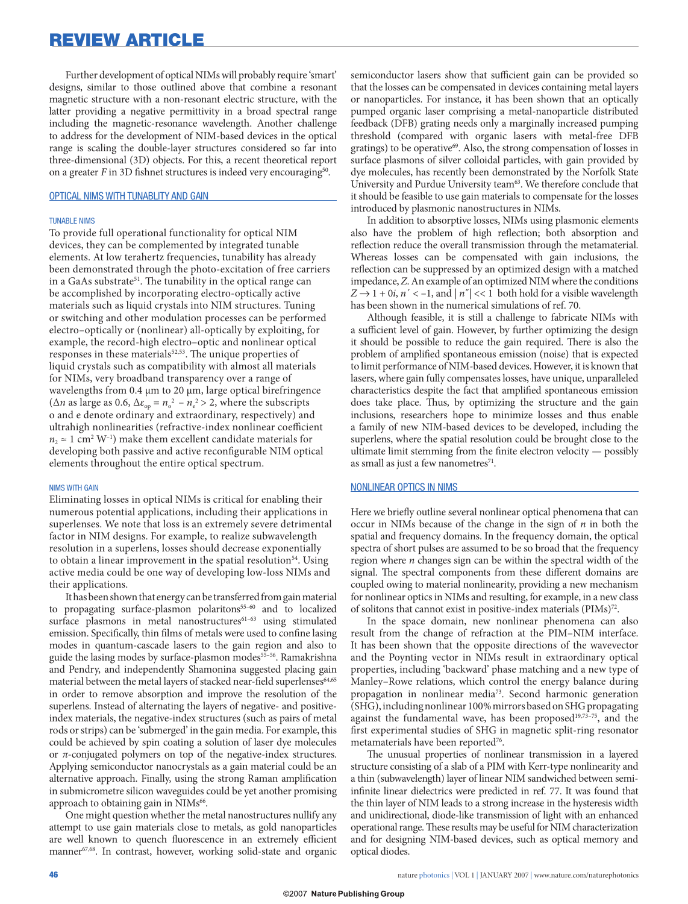Further development of optical NIMs will probably require 'smart' designs, similar to those outlined above that combine a resonant magnetic structure with a non-resonant electric structure, with the latter providing a negative permittivity in a broad spectral range including the magnetic-resonance wavelength. Another challenge to address for the development of NIM-based devices in the optical range is scaling the double-layer structures considered so far into three-dimensional (3D) objects. For this, a recent theoretical report on a greater *F* in 3D fishnet structures is indeed very encouraging<sup>50</sup>.

#### OPTICAL NIMS WITH TUNABLITY AND GAIN

#### TUNABLE NIMS

To provide full operational functionality for optical NIM devices, they can be complemented by integrated tunable elements. At low terahertz frequencies, tunability has already been demonstrated through the photo-excitation of free carriers in a GaAs substrate<sup>51</sup>. The tunability in the optical range can be accomplished by incorporating electro-optically active materials such as liquid crystals into NIM structures. Tuning or switching and other modulation processes can be performed electro–optically or (nonlinear) all-optically by exploiting, for example, the record-high electro–optic and nonlinear optical responses in these materials $52,53$ . The unique properties of liquid crystals such as compatibility with almost all materials for NIMs, very broadband transparency over a range of wavelengths from 0.4 μm to 20 μm, large optical birefringence ( $\Delta n$  as large as 0.6,  $\Delta \varepsilon_{\rm op} = n_{\rm o}^2 - n_{\rm e}^2 > 2$ , where the subscripts o and e denote ordinary and extraordinary, respectively) and ultrahigh nonlinearities (refractive-index nonlinear coefficient  $n_2 \approx 1 \text{ cm}^2 \text{ W}^{-1}$ ) make them excellent candidate materials for developing both passive and active reconfigurable NIM optical elements throughout the entire optical spectrum.

#### NIMS WITH GAIN

Eliminating losses in optical NIMs is critical for enabling their numerous potential applications, including their applications in superlenses. We note that loss is an extremely severe detrimental factor in NIM designs. For example, to realize subwavelength resolution in a superlens, losses should decrease exponentially to obtain a linear improvement in the spatial resolution<sup>54</sup>. Using active media could be one way of developing low-loss NIMs and their applications.

It has been shown that energy can be transferred from gain material to propagating surface-plasmon polaritons<sup>55-60</sup> and to localized surface plasmons in metal nanostructures $61-63$  using stimulated emission. Specifically, thin films of metals were used to confine lasing modes in quantum-cascade lasers to the gain region and also to guide the lasing modes by surface-plasmon modes<sup>55-56</sup>. Ramakrishna and Pendry, and independently Shamonina suggested placing gain material between the metal layers of stacked near-field superlenses<sup>64,65</sup> in order to remove absorption and improve the resolution of the superlens. Instead of alternating the layers of negative- and positiveindex materials, the negative-index structures (such as pairs of metal rods or strips) can be 'submerged' in the gain media. For example, this could be achieved by spin coating a solution of laser dye molecules or *π*-conjugated polymers on top of the negative-index structures. Applying semiconductor nanocrystals as a gain material could be an alternative approach. Finally, using the strong Raman amplification in submicrometre silicon waveguides could be yet another promising approach to obtaining gain in NIMs<sup>66</sup>.

One might question whether the metal nanostructures nullify any attempt to use gain materials close to metals, as gold nanoparticles are well known to quench fluorescence in an extremely efficient manner<sup>67,68</sup>. In contrast, however, working solid-state and organic semiconductor lasers show that sufficient gain can be provided so that the losses can be compensated in devices containing metal layers or nanoparticles. For instance, it has been shown that an optically pumped organic laser comprising a metal-nanoparticle distributed feedback (DFB) grating needs only a marginally increased pumping threshold (compared with organic lasers with metal-free DFB gratings) to be operative<sup>69</sup>. Also, the strong compensation of losses in surface plasmons of silver colloidal particles, with gain provided by dye molecules, has recently been demonstrated by the Norfolk State University and Purdue University team<sup>63</sup>. We therefore conclude that it should be feasible to use gain materials to compensate for the losses introduced by plasmonic nanostructures in NIMs.

In addition to absorptive losses, NIMs using plasmonic elements also have the problem of high reflection; both absorption and reflection reduce the overall transmission through the metamaterial. Whereas losses can be compensated with gain inclusions, the reflection can be suppressed by an optimized design with a matched impedance, *Z*. An example of an optimized NIM where the conditions  $Z \rightarrow 1 + 0i$ ,  $n' < -1$ , and  $|n''| < 1$  both hold for a visible wavelength has been shown in the numerical simulations of ref. 70.

Although feasible, it is still a challenge to fabricate NIMs with a sufficient level of gain. However, by further optimizing the design it should be possible to reduce the gain required. There is also the problem of amplified spontaneous emission (noise) that is expected to limit performance of NIM-based devices. However, it is known that lasers, where gain fully compensates losses, have unique, unparalleled characteristics despite the fact that amplified spontaneous emission does take place. Thus, by optimizing the structure and the gain inclusions, researchers hope to minimize losses and thus enable a family of new NIM-based devices to be developed, including the superlens, where the spatial resolution could be brought close to the ultimate limit stemming from the finite electron velocity  $-$  possibly as small as just a few nanometres<sup>71</sup>.

#### NONLINEAR OPTICS IN NIMS

Here we briefly outline several nonlinear optical phenomena that can occur in NIMs because of the change in the sign of *n* in both the spatial and frequency domains. In the frequency domain, the optical spectra of short pulses are assumed to be so broad that the frequency region where *n* changes sign can be within the spectral width of the signal. The spectral components from these different domains are coupled owing to material nonlinearity, providing a new mechanism for nonlinear optics in NIMs and resulting, for example, in a new class of solitons that cannot exist in positive-index materials (PIMs)72.

In the space domain, new nonlinear phenomena can also result from the change of refraction at the PIM–NIM interface. It has been shown that the opposite directions of the wavevector and the Poynting vector in NIMs result in extraordinary optical properties, including 'backward' phase matching and a new type of Manley–Rowe relations, which control the energy balance during propagation in nonlinear media<sup>73</sup>. Second harmonic generation (SHG), including nonlinear 100% mirrors based on SHG propagating against the fundamental wave, has been proposed<sup>19,73-75</sup>, and the first experimental studies of SHG in magnetic split-ring resonator metamaterials have been reported<sup>76</sup>.

The unusual properties of nonlinear transmission in a layered structure consisting of a slab of a PIM with Kerr-type nonlinearity and a thin (subwavelength) layer of linear NIM sandwiched between semiinfinite linear dielectrics were predicted in ref. 77. It was found that the thin layer of NIM leads to a strong increase in the hysteresis width and unidirectional, diode-like transmission of light with an enhanced operational range. These results may be useful for NIM characterization and for designing NIM-based devices, such as optical memory and optical diodes.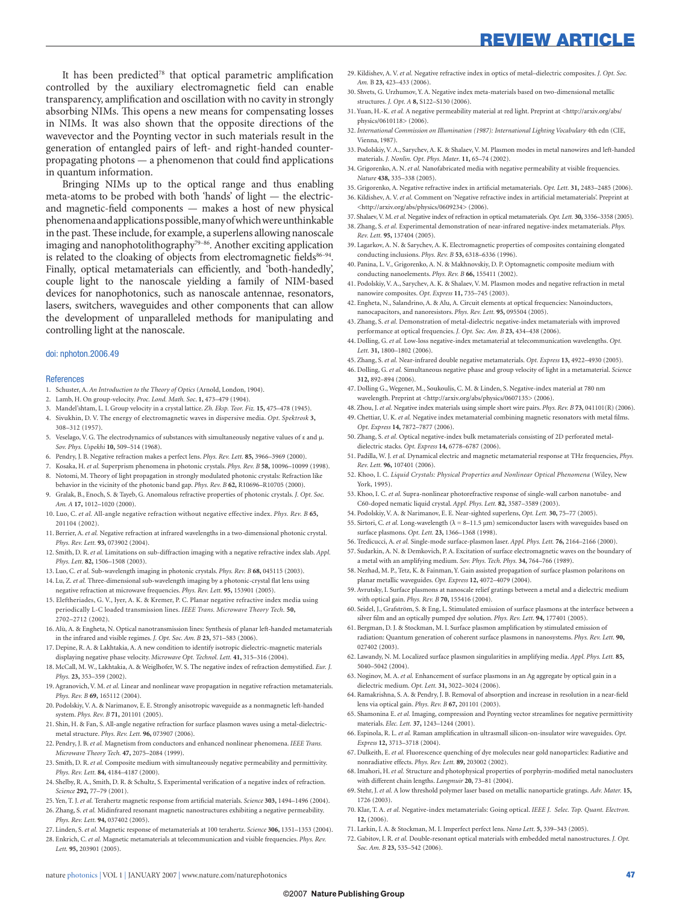It has been predicted<sup>78</sup> that optical parametric amplification controlled by the auxiliary electromagnetic field can enable transparency, amplification and oscillation with no cavity in strongly absorbing NIMs. This opens a new means for compensating losses in NIMs. It was also shown that the opposite directions of the wavevector and the Poynting vector in such materials result in the generation of entangled pairs of left- and right-handed counterpropagating photons — a phenomenon that could find applications in quantum information.

Bringing NIMs up to the optical range and thus enabling meta-atoms to be probed with both 'hands' of light — the electricand magnetic-field components - makes a host of new physical phenomena and applications possible, many of which were unthinkable in the past. These include, for example, a superlens allowing nanoscale imaging and nanophotolithography<sup>79-86</sup>. Another exciting application is related to the cloaking of objects from electromagnetic fields $86-94$ . Finally, optical metamaterials can efficiently, and 'both-handedly', couple light to the nanoscale yielding a family of NIM-based devices for nanophotonics, such as nanoscale antennae, resonators, lasers, switchers, waveguides and other components that can allow the development of unparalleled methods for manipulating and controlling light at the nanoscale.

#### doi: nphoton.2006.49

#### **References**

- 1. Schuster, A. *An Introduction to the Theory of Optics* (Arnold, London, 1904).
- 2. Lamb, H. On group-velocity. *Proc. Lond. Math. Soc*. **1,** 473–479 (1904).
- 3. Mandel'shtam, L. I. Group velocity in a crystal lattice. *Zh. Eksp. Teor. Fiz.* **15,** 475–478 (1945).
- 4. Sivukhin, D. V. The energy of electromagnetic waves in dispersive media. *Opt. Spektrosk* **3,** 308–312 (1957).
- 5. Veselago, V. G. The electrodynamics of substances with simultaneously negative values of ε and µ. *Sov. Phys. Uspekhi* **10,** 509–514 (1968).
- 6. Pendry, J. B. Negative refraction makes a perfect lens. *Phys. Rev. Lett.* **85,** 3966–3969 (2000).
- 7. Kosaka, H. *et al.* Superprism phenomena in photonic crystals. *Phys. Rev. B* **58,** 10096–10099 (1998). 8. Notomi, M. Theory of light propagation in strongly modulated photonic crystals: Refraction like
- behavior in the vicinity of the photonic band gap. *Phys. Rev. B* **62,** R10696–R10705 (2000). 9. Gralak, B., Enoch, S. & Tayeb, G. Anomalous refractive properties of photonic crystals. *J. Opt. Soc.*
- *Am. A* **17,** 1012–1020 (2000).
- 10. Luo, C. *et al.* All-angle negative refraction without negative effective index. *Phys. Rev. B* **65,** 201104 (2002).
- 11. Berrier, A. *et al.* Negative refraction at infrared wavelengths in a two-dimensional photonic crystal. *Phys. Rev. Lett.* **93,** 073902 (2004).
- 12. Smith, D. R. *et al.* Limitations on sub-diffraction imaging with a negative refractive index slab. *Appl. Phys. Lett.* **82,** 1506–1508 (2003).
- 13. Luo, C. *et al.* Sub-wavelength imaging in photonic crystals. *Phys. Rev. B* **68,** 045115 (2003).
- 14. Lu, Z. et al. Three-dimensional sub-wavelength imaging by a photonic-crystal flat lens using negative refraction at microwave frequencies. *Phys. Rev. Lett.* **95,** 153901 (2005).
- 15. Eleftheriades, G. V., Iyer, A. K. & Kremer, P. C. Planar negative refractive index media using periodically L-C loaded transmission lines. *IEEE Trans. Microwave Theory Tech.* **50,** 2702–2712 (2002).
- 16. Alù, A. & Engheta, N. Optical nanotransmission lines: Synthesis of planar left-handed metamaterials in the infrared and visible regimes. *J. Opt. Soc. Am. B* **23,** 571–583 (2006).
- 17. Depine, R. A. & Lakhtakia, A. A new condition to identify isotropic dielectric-magnetic materials displaying negative phase velocity. *Microwave Opt. Technol. Lett.* **41,** 315–316 (2004).
- 18. McCall, M. W., Lakhtakia, A. & Weiglhofer, W. S. The negative index of refraction demystified. *Eur. J. Phys.* **23,** 353–359 (2002).
- 19. Agranovich, V. M. *et al.* Linear and nonlinear wave propagation in negative refraction metamaterials. *Phys. Rev. B* **69,** 165112 (2004).
- 20. Podolskiy, V. A. & Narimanov, E. E. Strongly anisotropic waveguide as a nonmagnetic left-handed system. *Phys. Rev. B* **71,** 201101 (2005).
- 21. Shin, H. & Fan, S. All-angle negative refraction for surface plasmon waves using a metal-dielectricmetal structure. *Phys. Rev. Lett.* **96,** 073907 (2006).
- 22. Pendry, J. B. *et al.* Magnetism from conductors and enhanced nonlinear phenomena. *IEEE Trans. Microwave Theory Tech.* **47,** 2075–2084 (1999).
- 23. Smith, D. R. *et al.* Composite medium with simultaneously negative permeability and permittivity. *Phys. Rev. Lett.* **84,** 4184–4187 (2000).
- 24. Shelby, R. A., Smith, D. R. & Schultz, S. Experimental verification of a negative index of refraction *Science* **292,** 77–79 (2001).
- 25. Yen, T. J. et al. Terahertz magnetic response from artificial materials. *Science* 303, 1494-1496 (2004).
- 26. Zhang, S. *et al.* Midinfrared resonant magnetic nanostructures exhibiting a negative permeability. *Phys. Rev. Lett.* **94,** 037402 (2005).
- 27. Linden, S. *et al.* Magnetic response of metamaterials at 100 terahertz. *Science* **306,** 1351–1353 (2004).
- 28. Enkrich, C. *et al.* Magnetic metamaterials at telecommunication and visible frequencies. *Phys. Rev. Lett.* **95,** 203901 (2005).
- 29. Kildishev, A. V. *et al.* Negative refractive index in optics of metal–dielectric composites. *J. Opt. Soc. Am.* B **23,** 423–433 (2006).
- 30. Shvets, G. Urzhumov, Y. A. Negative index meta-materials based on two-dimensional metallic structures. *J. Opt. A* **8,** S122–S130 (2006).
- 31. Yuan, H.-K. *et al.* A negative permeability material at red light. Preprint at <http://arxiv.org/abs/ physics/0610118> (2006).
- 32. *International Commission on Illumination (1987): International Lighting Vocabulary* 4th edn (CIE, Vienna, 1987).
- 33. Podolskiy, V. A., Sarychev, A. K. & Shalaev, V. M. Plasmon modes in metal nanowires and left-handed materials. *J. Nonlin. Opt. Phys. Mater.* **11,** 65–74 (2002).
- 34. Grigorenko, A. N. *et al.* Nanofabricated media with negative permeability at visible frequencies. *Nature* **438,** 335–338 (2005).
- 35. Grigorenko, A. Negative refractive index in artificial metamaterials. Opt. Lett. 31, 2483-2485 (2006). 36. Kildishev, A. V. *et al.* Comment on 'Negative refractive index in artificial metamaterials'. Preprint at
- <http://arxiv.org/abs/physics/0609234> (2006). 37. Shalaev, V. M. *et al.* Negative index of refraction in optical metamaterials. *Opt. Lett.* **30,** 3356–3358 (2005).
- 38. Zhang, S. *et al.* Experimental demonstration of near-infrared negative-index metamaterials. *Phys. Rev. Lett.* **95,** 137404 (2005).
- 39. Lagarkov, A. N. & Sarychev, A. K. Electromagnetic properties of composites containing elongated conducting inclusions. *Phys. Rev. B* **53,** 6318–6336 (1996).
- 40. Panina, L. V., Grigorenko, A. N. & Makhnovskiy, D. P. Optomagnetic composite medium with conducting nanoelements. *Phys. Rev. B* **66,** 155411 (2002).
- 41. Podolskiy, V. A., Sarychev, A. K. & Shalaev, V. M. Plasmon modes and negative refraction in metal nanowire composites. *Opt. Express* **11,** 735–745 (2003).
- 42. Engheta, N., Salandrino, A. & Alu, A. Circuit elements at optical frequencies: Nanoinductors, nanocapacitors, and nanoresistors. *Phys. Rev. Lett.* **95,** 095504 (2005).
- 43. Zhang, S. *et al.* Demonstration of metal-dielectric negative-index metamaterials with improved performance at optical frequencies. *J. Opt. Soc. Am. B* **23,** 434–438 (2006).
- 44. Dolling, G. *et al.* Low-loss negative-index metamaterial at telecommunication wavelengths. *Opt. Lett.* **31,** 1800–1802 (2006).
- 45. Zhang, S. *et al.* Near-infrared double negative metamaterials. *Opt. Express* **13,** 4922–4930 (2005).
- 46. Dolling, G. *et al.* Simultaneous negative phase and group velocity of light in a metamaterial. *Scien*ce **312,** 892–894 (2006).
- 47. Dolling G., Wegener, M., Soukoulis, C. M. & Linden, S. Negative-index material at 780 nm wavelength. Preprint at <http://arxiv.org/abs/physics/0607135> (2006).
- 48. Zhou, J. *et al.* Negative index materials using simple short wire pairs. *Phys. Rev. B* **73,** 041101(R) (2006).
- 49. Chettiar, U. K. et al. Negative index metamaterial combining magnetic resonators with metal films. *Opt. Express* **14,** 7872–7877 (2006).
- 50. Zhang, S. *et al.* Optical negative-index bulk metamaterials consisting of 2D perforated metaldielectric stacks. *Opt. Express* **14,** 6778–6787 (2006).
- 51. Padilla, W. J. *et al.* Dynamical electric and magnetic metamaterial response at THz frequencies, *Phys. Rev. Lett.* **96,** 107401 (2006).
- 52. Khoo, I. C. *Liquid Crystals: Physical Properties and Nonlinear Optical Phenomena* (Wiley, New York, 1995).
- 53. Khoo, I. C. *et al.* Supra-nonlinear photorefractive response of single-wall carbon nanotube- and C60-doped nematic liquid crystal. *Appl. Phys. Lett.* **82,** 3587–3589 (2003).
- 54. Podolskiy, V. A. & Narimanov, E. E. Near-sighted superlens, *Opt. Lett.* **30,** 75–77 (2005).
- 55. Sirtori, C. *et al.* Long-wavelength ( $\lambda = 8-11.5 \text{ }\mu\text{m}$ ) semiconductor lasers with waveguides based on surface plasmons. *Opt. Lett.* **23,** 1366–1368 (1998).
- 56. Tredicucci, A. *et al.* Single-mode surface-plasmon laser. *Appl. Phys. Lett.* **76,** 2164–2166 (2000).
- 57. Sudarkin, A. N. & Demkovich, P. A. Excitation of surface electromagnetic waves on the boundary of a metal with an amplifying medium. *Sov. Phys. Tech. Phys.* **34,** 764–766 (1989).
- 58. Nezhad, M. P., Tetz, K. & Fainman, Y. Gain assisted propagation of surface plasmon polaritons on planar metallic waveguides. *Opt. Express* **12,** 4072–4079 (2004).
- 59. Avrutsky, I. Surface plasmons at nanoscale relief gratings between a metal and a dielectric medium with optical gain. *Phys. Rev. B* **70,** 155416 (2004).
- 60. Seidel, J., Grafström, S. & Eng, L. Stimulated emission of surface plasmons at the interface between a silver film and an optically pumped dye solution. *Phys. Rev. Lett.* 94, 177401 (2005).
- 61. Bergman, D. J. & Stockman, M. I. Surface plasmon amplification by stimulated emission of radiation: Quantum generation of coherent surface plasmons in nanosystems. *Phys. Rev. Lett.* **90,** 027402 (2003).
- 62. Lawandy, N. M. Localized surface plasmon singularities in amplifying media. *Appl. Phys. Lett.* **85,** 5040–5042 (2004).
- 63. Noginov, M. A. *et al.* Enhancement of surface plasmons in an Ag aggregate by optical gain in a dielectric medium. *Opt. Lett.* **31,** 3022–3024 (2006).
- 64. Ramakrishna, S. A. & Pendry, J. B. Removal of absorption and increase in resolution in a near-field lens via optical gain. *Phys. Rev. B* **67,** 201101 (2003).
- 65. Shamonina E. *et al.* Imaging, compression and Poynting vector streamlines for negative permittivity materials. *Elec. Lett.* **37,** 1243–1244 (2001).
- 66. Espinola, R. L. *et al.* Raman amplification in ultrasmall silicon-on-insulator wire waveguides. *Opt. Express* **12,** 3713–3718 (2004).
- 67. Dulkeith, E. *et al.* Fluorescence quenching of dye molecules near gold nanoparticles: Radiative and nonradiative effects. *Phys. Rev. Lett.* **89,** 203002 (2002).
- 68. Imahori, H. *et al.* Structure and photophysical properties of porphyrin-modified metal nanoclusters with different chain lengths. *Langmuir* **20,** 73–81 (2004).
- 69. Stehr, J. *et al.* A low threshold polymer laser based on metallic nanoparticle gratings. *Adv. Mater.* **15,** 1726 (2003).
- 70. Klar, T. A. *et al.* Negative-index metamaterials: Going optical. *IEEE J. Selec. Top. Quant. Electron.* 12, (2006)
- 71. Larkin, I. A. & Stockman, M. I. Imperfect perfect lens. *Nano Lett.* **5,** 339–343 (2005).
- 72. Gabitov, I. R. *et al.* Double-resonant optical materials with embedded metal nanostructures. *J. Opt. Soc. Am. B* **23,** 535–542 (2006).